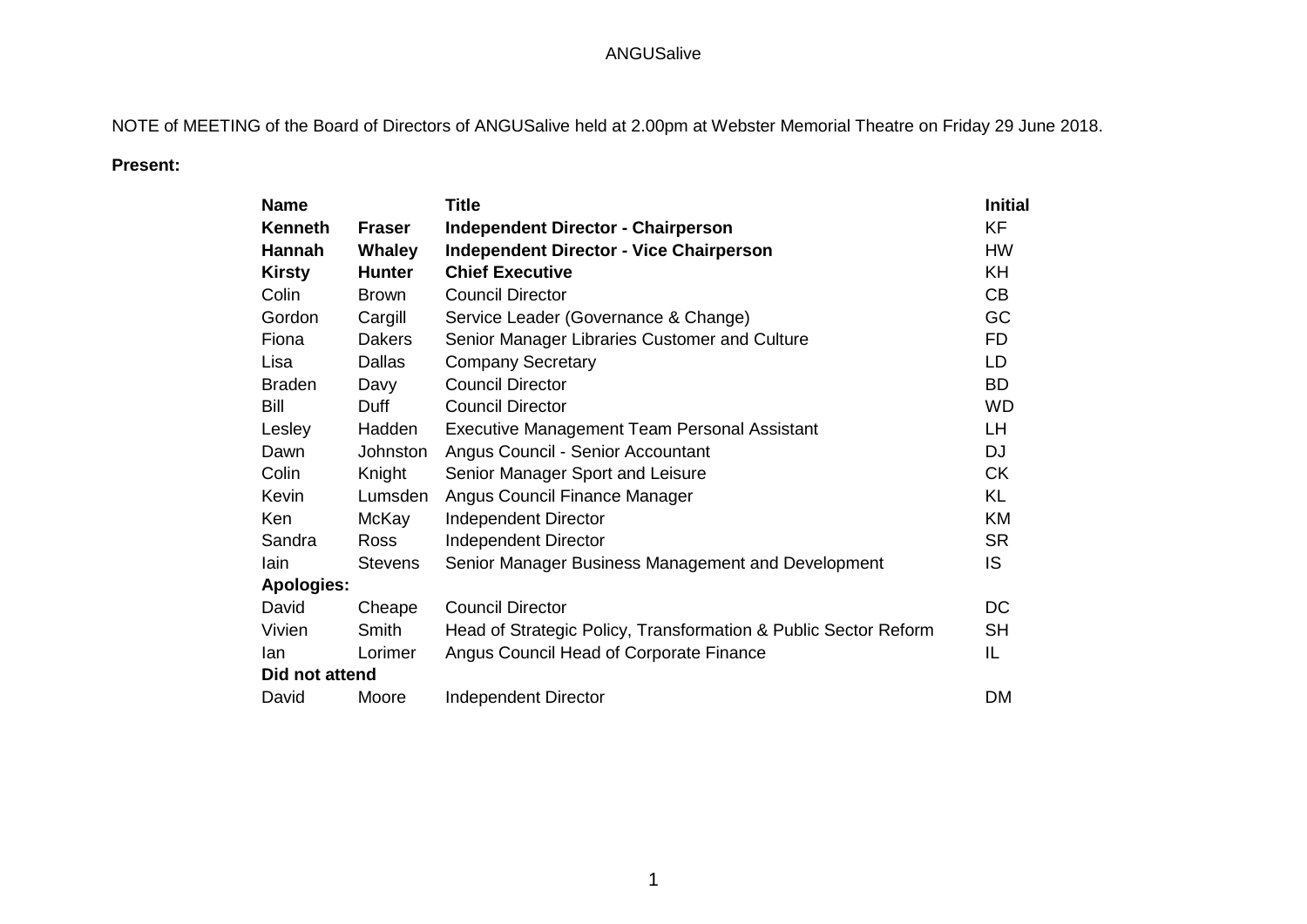NOTE of MEETING of the Board of Directors of ANGUSalive held at 2.00pm at Webster Memorial Theatre on Friday 29 June 2018.

## **Present:**

| <b>Name</b>       |               | <b>Title</b>                                                    | <b>Initial</b> |
|-------------------|---------------|-----------------------------------------------------------------|----------------|
| <b>Kenneth</b>    | <b>Fraser</b> | <b>Independent Director - Chairperson</b>                       | <b>KF</b>      |
| Hannah            | <b>Whaley</b> | <b>Independent Director - Vice Chairperson</b>                  | <b>HW</b>      |
| <b>Kirsty</b>     | <b>Hunter</b> | <b>Chief Executive</b>                                          | <b>KH</b>      |
| Colin             | <b>Brown</b>  | <b>Council Director</b>                                         | CB             |
| Gordon            | Cargill       | Service Leader (Governance & Change)                            | GC             |
| Fiona             | <b>Dakers</b> | Senior Manager Libraries Customer and Culture                   | FD.            |
| Lisa              | <b>Dallas</b> | <b>Company Secretary</b>                                        | LD             |
| <b>Braden</b>     | Davy          | <b>Council Director</b>                                         | <b>BD</b>      |
| Bill              | Duff          | <b>Council Director</b>                                         | <b>WD</b>      |
| Lesley            | Hadden        | Executive Management Team Personal Assistant                    | LH             |
| Dawn              | Johnston      | Angus Council - Senior Accountant                               | DJ             |
| Colin             | Knight        | Senior Manager Sport and Leisure                                | <b>CK</b>      |
| Kevin             | Lumsden       | Angus Council Finance Manager                                   | KL             |
| Ken               | McKay         | <b>Independent Director</b>                                     | KM             |
| Sandra            | Ross          | <b>Independent Director</b>                                     | <b>SR</b>      |
| lain              | Stevens       | Senior Manager Business Management and Development              | IS.            |
| <b>Apologies:</b> |               |                                                                 |                |
| David             | Cheape        | <b>Council Director</b>                                         | DC             |
| Vivien            | Smith         | Head of Strategic Policy, Transformation & Public Sector Reform | <b>SH</b>      |
| lan               | Lorimer       | Angus Council Head of Corporate Finance                         | IL             |
| Did not attend    |               |                                                                 |                |
| David             | Moore         | <b>Independent Director</b>                                     | <b>DM</b>      |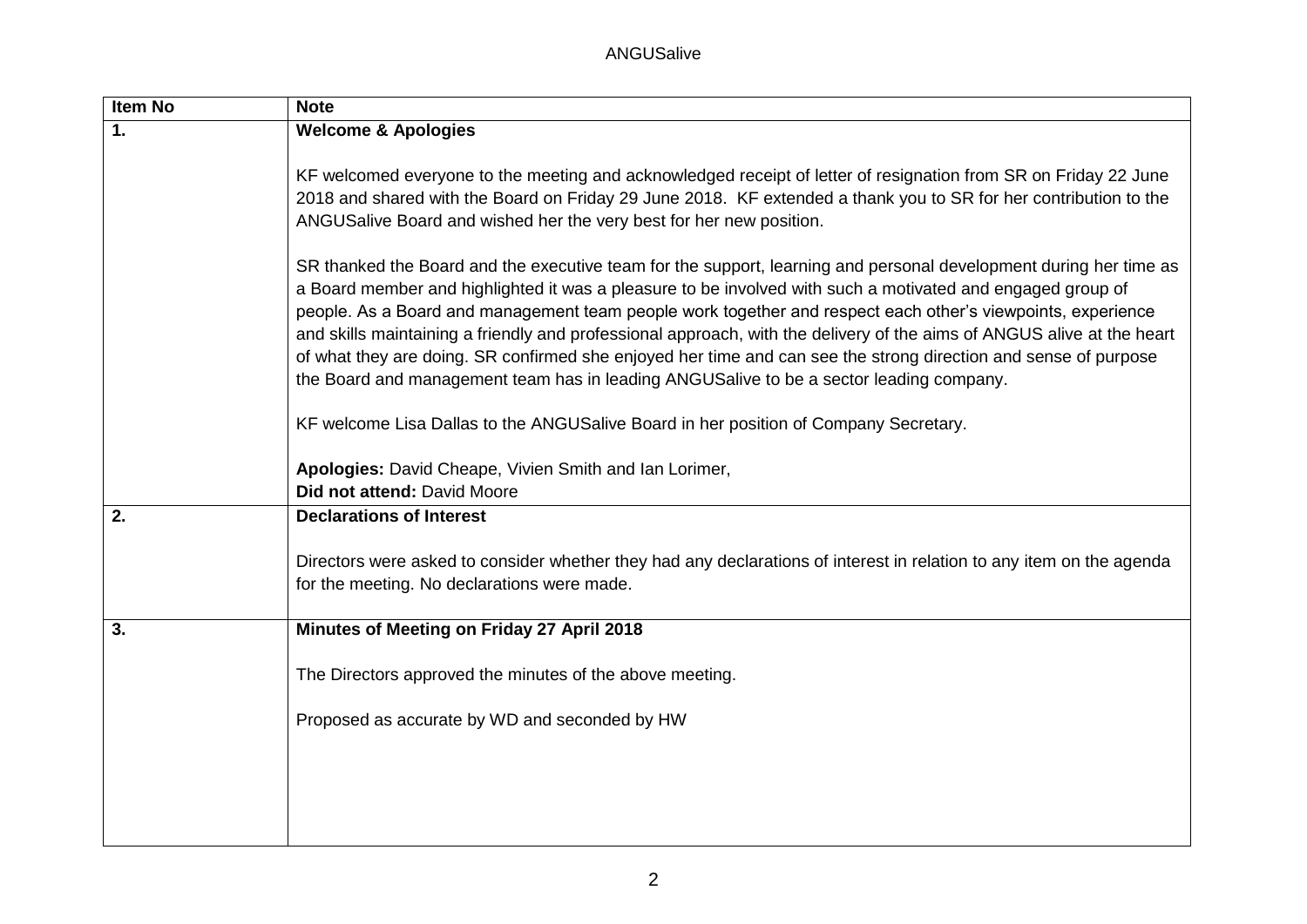| Item No | <b>Note</b>                                                                                                                                                                                                                                                                                                                                                                                                                                                                                                                                                                                                                                                                            |
|---------|----------------------------------------------------------------------------------------------------------------------------------------------------------------------------------------------------------------------------------------------------------------------------------------------------------------------------------------------------------------------------------------------------------------------------------------------------------------------------------------------------------------------------------------------------------------------------------------------------------------------------------------------------------------------------------------|
| 1.      | <b>Welcome &amp; Apologies</b>                                                                                                                                                                                                                                                                                                                                                                                                                                                                                                                                                                                                                                                         |
|         | KF welcomed everyone to the meeting and acknowledged receipt of letter of resignation from SR on Friday 22 June<br>2018 and shared with the Board on Friday 29 June 2018. KF extended a thank you to SR for her contribution to the<br>ANGUSalive Board and wished her the very best for her new position.                                                                                                                                                                                                                                                                                                                                                                             |
|         | SR thanked the Board and the executive team for the support, learning and personal development during her time as<br>a Board member and highlighted it was a pleasure to be involved with such a motivated and engaged group of<br>people. As a Board and management team people work together and respect each other's viewpoints, experience<br>and skills maintaining a friendly and professional approach, with the delivery of the aims of ANGUS alive at the heart<br>of what they are doing. SR confirmed she enjoyed her time and can see the strong direction and sense of purpose<br>the Board and management team has in leading ANGUSalive to be a sector leading company. |
|         | KF welcome Lisa Dallas to the ANGUSalive Board in her position of Company Secretary.                                                                                                                                                                                                                                                                                                                                                                                                                                                                                                                                                                                                   |
|         | Apologies: David Cheape, Vivien Smith and Ian Lorimer,<br>Did not attend: David Moore                                                                                                                                                                                                                                                                                                                                                                                                                                                                                                                                                                                                  |
| 2.      | <b>Declarations of Interest</b>                                                                                                                                                                                                                                                                                                                                                                                                                                                                                                                                                                                                                                                        |
|         | Directors were asked to consider whether they had any declarations of interest in relation to any item on the agenda<br>for the meeting. No declarations were made.                                                                                                                                                                                                                                                                                                                                                                                                                                                                                                                    |
| 3.      | Minutes of Meeting on Friday 27 April 2018                                                                                                                                                                                                                                                                                                                                                                                                                                                                                                                                                                                                                                             |
|         | The Directors approved the minutes of the above meeting.                                                                                                                                                                                                                                                                                                                                                                                                                                                                                                                                                                                                                               |
|         | Proposed as accurate by WD and seconded by HW                                                                                                                                                                                                                                                                                                                                                                                                                                                                                                                                                                                                                                          |
|         |                                                                                                                                                                                                                                                                                                                                                                                                                                                                                                                                                                                                                                                                                        |
|         |                                                                                                                                                                                                                                                                                                                                                                                                                                                                                                                                                                                                                                                                                        |
|         |                                                                                                                                                                                                                                                                                                                                                                                                                                                                                                                                                                                                                                                                                        |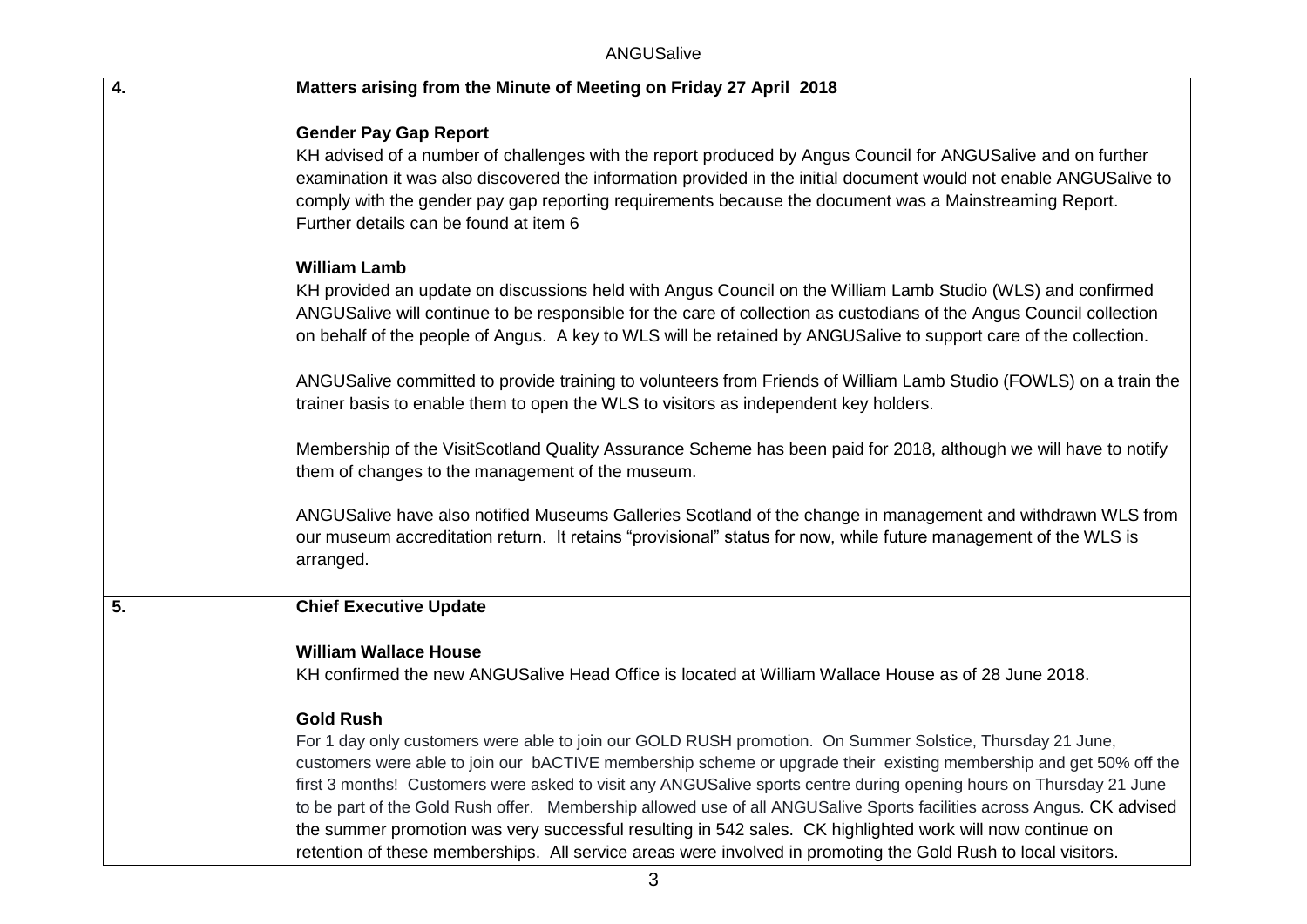| $\overline{4}$ . | Matters arising from the Minute of Meeting on Friday 27 April 2018                                                                                                                                                                                                                                                                                                                                                                                                                                                                                                                                                                                                                                                                 |
|------------------|------------------------------------------------------------------------------------------------------------------------------------------------------------------------------------------------------------------------------------------------------------------------------------------------------------------------------------------------------------------------------------------------------------------------------------------------------------------------------------------------------------------------------------------------------------------------------------------------------------------------------------------------------------------------------------------------------------------------------------|
|                  | <b>Gender Pay Gap Report</b><br>KH advised of a number of challenges with the report produced by Angus Council for ANGUSalive and on further<br>examination it was also discovered the information provided in the initial document would not enable ANGUSalive to<br>comply with the gender pay gap reporting requirements because the document was a Mainstreaming Report.<br>Further details can be found at item 6                                                                                                                                                                                                                                                                                                             |
|                  | <b>William Lamb</b><br>KH provided an update on discussions held with Angus Council on the William Lamb Studio (WLS) and confirmed<br>ANGUSalive will continue to be responsible for the care of collection as custodians of the Angus Council collection<br>on behalf of the people of Angus. A key to WLS will be retained by ANGUSalive to support care of the collection.                                                                                                                                                                                                                                                                                                                                                      |
|                  | ANGUSalive committed to provide training to volunteers from Friends of William Lamb Studio (FOWLS) on a train the<br>trainer basis to enable them to open the WLS to visitors as independent key holders.                                                                                                                                                                                                                                                                                                                                                                                                                                                                                                                          |
|                  | Membership of the VisitScotland Quality Assurance Scheme has been paid for 2018, although we will have to notify<br>them of changes to the management of the museum.                                                                                                                                                                                                                                                                                                                                                                                                                                                                                                                                                               |
|                  | ANGUSalive have also notified Museums Galleries Scotland of the change in management and withdrawn WLS from<br>our museum accreditation return. It retains "provisional" status for now, while future management of the WLS is<br>arranged.                                                                                                                                                                                                                                                                                                                                                                                                                                                                                        |
| 5.               | <b>Chief Executive Update</b>                                                                                                                                                                                                                                                                                                                                                                                                                                                                                                                                                                                                                                                                                                      |
|                  | <b>William Wallace House</b><br>KH confirmed the new ANGUSalive Head Office is located at William Wallace House as of 28 June 2018.                                                                                                                                                                                                                                                                                                                                                                                                                                                                                                                                                                                                |
|                  | <b>Gold Rush</b><br>For 1 day only customers were able to join our GOLD RUSH promotion. On Summer Solstice, Thursday 21 June,<br>customers were able to join our bACTIVE membership scheme or upgrade their existing membership and get 50% off the<br>first 3 months! Customers were asked to visit any ANGUSalive sports centre during opening hours on Thursday 21 June<br>to be part of the Gold Rush offer. Membership allowed use of all ANGUSalive Sports facilities across Angus. CK advised<br>the summer promotion was very successful resulting in 542 sales. CK highlighted work will now continue on<br>retention of these memberships. All service areas were involved in promoting the Gold Rush to local visitors. |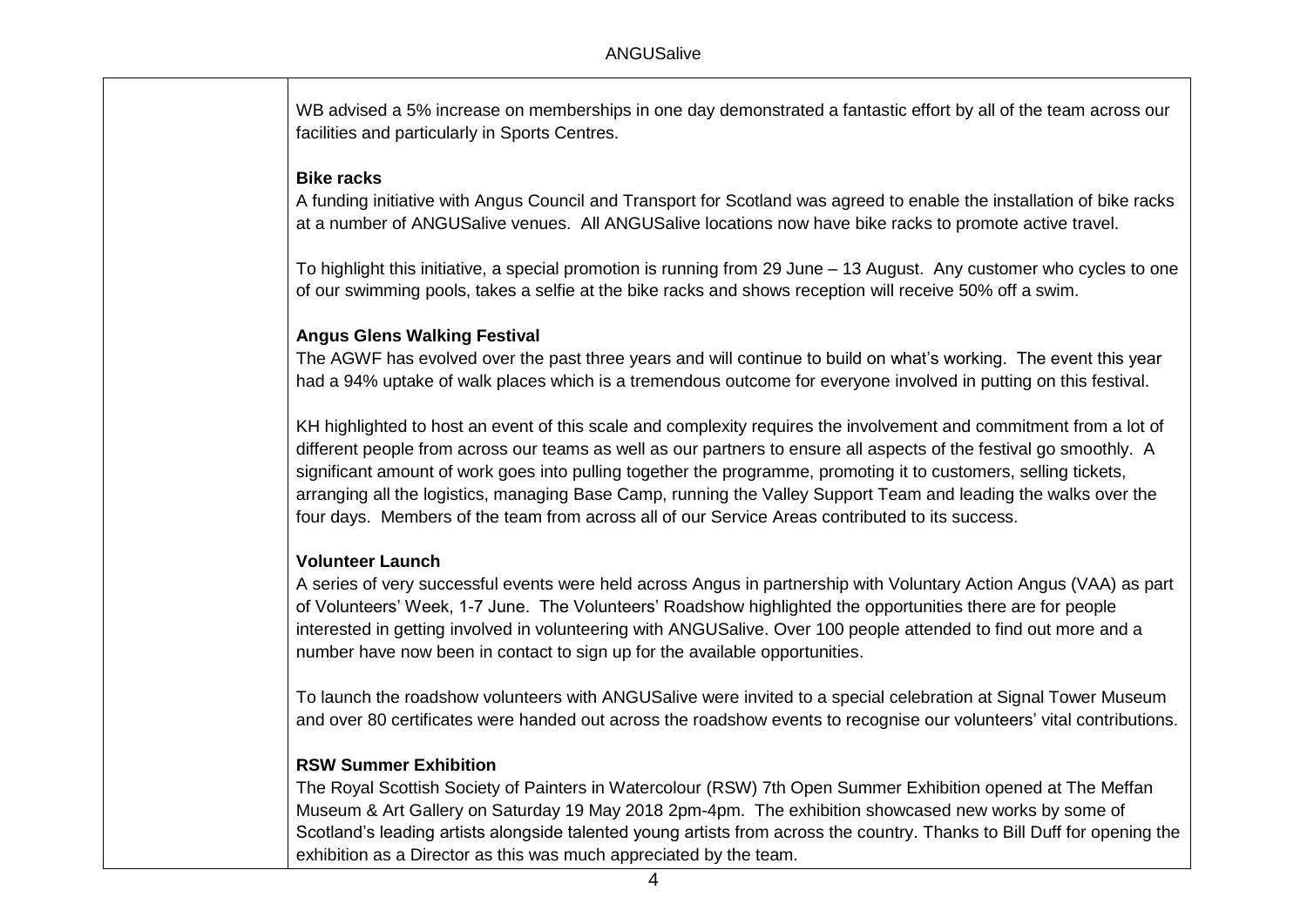WB advised a 5% increase on memberships in one day demonstrated a fantastic effort by all of the team across our facilities and particularly in Sports Centres.

### **Bike racks**

 A funding initiative with Angus Council and Transport for Scotland was agreed to enable the installation of bike racks at a number of ANGUSalive venues. All ANGUSalive locations now have bike racks to promote active travel.

 To highlight this initiative, a special promotion is running from 29 June – 13 August. Any customer who cycles to one of our swimming pools, takes a selfie at the bike racks and shows reception will receive 50% off a swim.

### **Angus Glens Walking Festival**

 The AGWF has evolved over the past three years and will continue to build on what's working. The event this year had a 94% uptake of walk places which is a tremendous outcome for everyone involved in putting on this festival.

 KH highlighted to host an event of this scale and complexity requires the involvement and commitment from a lot of different people from across our teams as well as our partners to ensure all aspects of the festival go smoothly. A significant amount of work goes into pulling together the programme, promoting it to customers, selling tickets, arranging all the logistics, managing Base Camp, running the Valley Support Team and leading the walks over the four days. Members of the team from across all of our Service Areas contributed to its success.

### **Volunteer Launch**

 A series of very successful events were held across Angus in partnership with Voluntary Action Angus (VAA) as part of Volunteers' Week, 1-7 June. The Volunteers' Roadshow highlighted the opportunities there are for people interested in getting involved in volunteering with ANGUSalive. Over 100 people attended to find out more and a number have now been in contact to sign up for the available opportunities.

 To launch the roadshow volunteers with ANGUSalive were invited to a special celebration at Signal Tower Museum and over 80 certificates were handed out across the roadshow events to recognise our volunteers' vital contributions.

### **RSW Summer Exhibition**

 The Royal Scottish Society of Painters in Watercolour (RSW) 7th Open Summer Exhibition opened at The Meffan Museum & Art Gallery on Saturday 19 May 2018 2pm-4pm. The exhibition showcased new works by some of Scotland's leading artists alongside talented young artists from across the country. Thanks to Bill Duff for opening the exhibition as a Director as this was much appreciated by the team.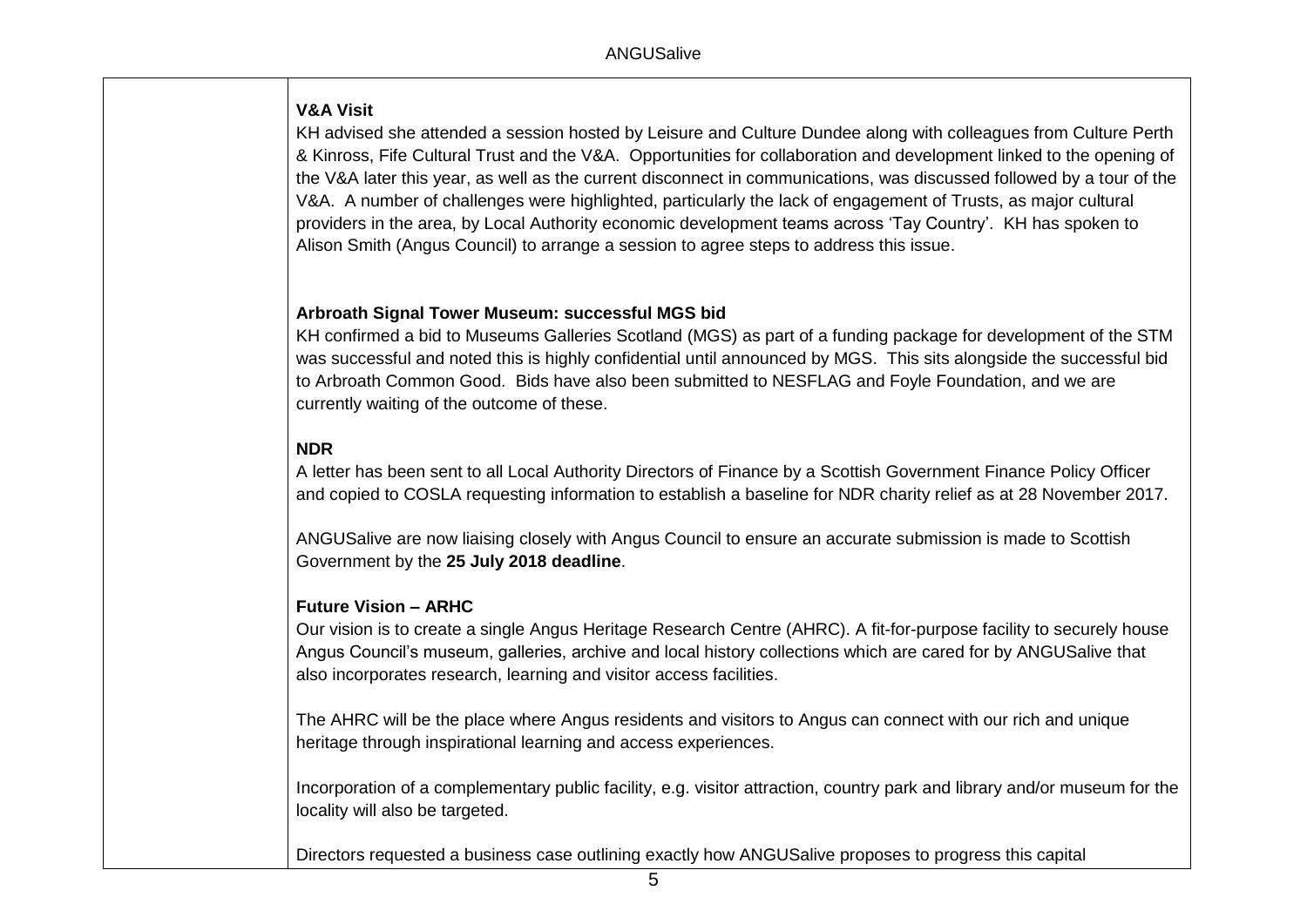# **V&A Visit**

 KH advised she attended a session hosted by Leisure and Culture Dundee along with colleagues from Culture Perth & Kinross, Fife Cultural Trust and the V&A. Opportunities for collaboration and development linked to the opening of the V&A later this year, as well as the current disconnect in communications, was discussed followed by a tour of the V&A. A number of challenges were highlighted, particularly the lack of engagement of Trusts, as major cultural providers in the area, by Local Authority economic development teams across 'Tay Country'. KH has spoken to Alison Smith (Angus Council) to arrange a session to agree steps to address this issue.

## **Arbroath Signal Tower Museum: successful MGS bid**

 KH confirmed a bid to Museums Galleries Scotland (MGS) as part of a funding package for development of the STM was successful and noted this is highly confidential until announced by MGS. This sits alongside the successful bid to Arbroath Common Good. Bids have also been submitted to NESFLAG and Foyle Foundation, and we are currently waiting of the outcome of these.

# **NDR**

 A letter has been sent to all Local Authority Directors of Finance by a Scottish Government Finance Policy Officer and copied to COSLA requesting information to establish a baseline for NDR charity relief as at 28 November 2017.

 ANGUSalive are now liaising closely with Angus Council to ensure an accurate submission is made to Scottish Government by the **25 July 2018 deadline**.

### **Future Vision – ARHC**

 Our vision is to create a single Angus Heritage Research Centre (AHRC). A fit-for-purpose facility to securely house Angus Council's museum, galleries, archive and local history collections which are cared for by ANGUSalive that also incorporates research, learning and visitor access facilities.

 The AHRC will be the place where Angus residents and visitors to Angus can connect with our rich and unique heritage through inspirational learning and access experiences.

 Incorporation of a complementary public facility, e.g. visitor attraction, country park and library and/or museum for the locality will also be targeted.

Directors requested a business case outlining exactly how ANGUSalive proposes to progress this capital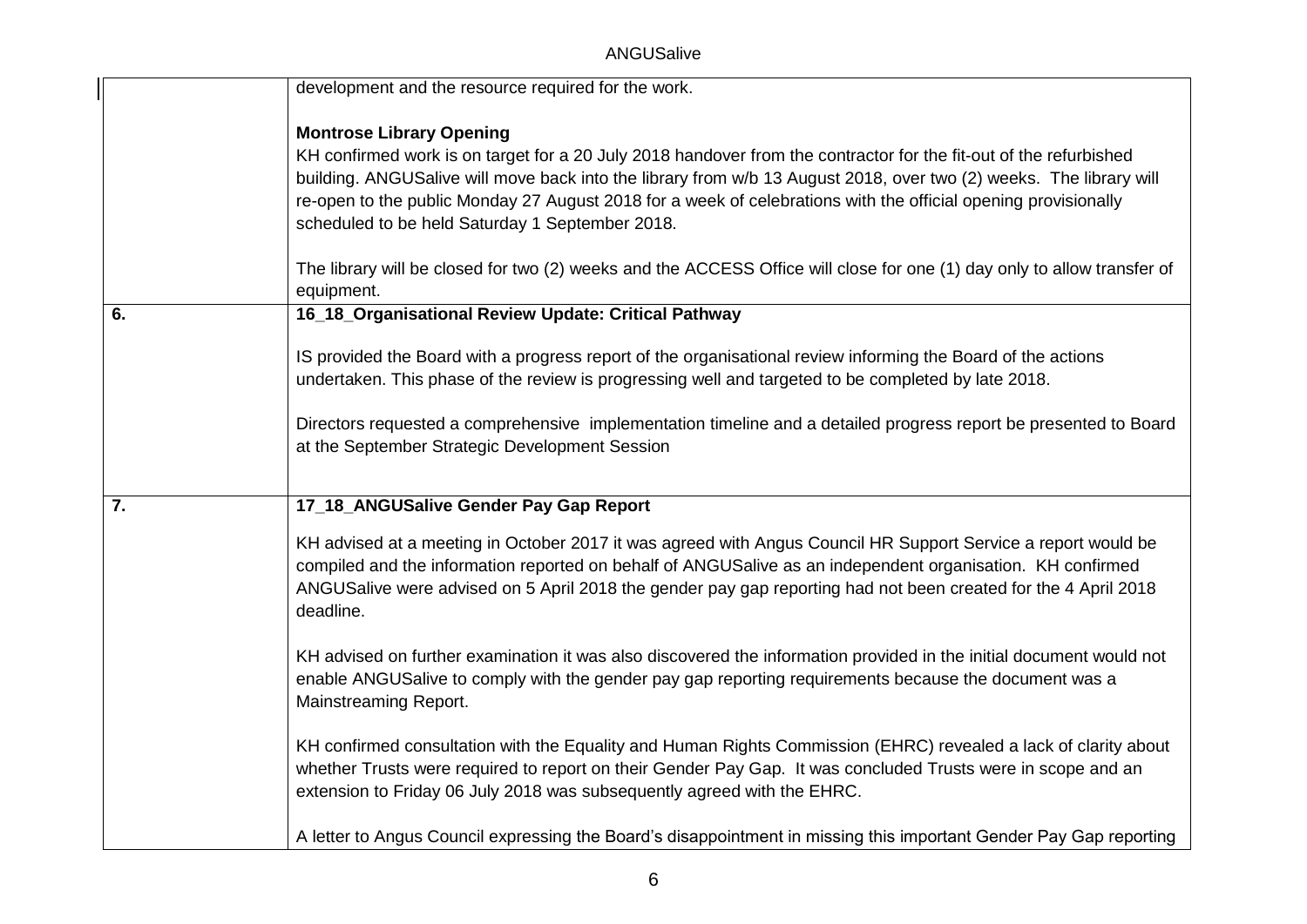ANGUSalive

|    | development and the resource required for the work.                                                                                                                                                                                                                                                                                                        |
|----|------------------------------------------------------------------------------------------------------------------------------------------------------------------------------------------------------------------------------------------------------------------------------------------------------------------------------------------------------------|
|    | <b>Montrose Library Opening</b>                                                                                                                                                                                                                                                                                                                            |
|    | KH confirmed work is on target for a 20 July 2018 handover from the contractor for the fit-out of the refurbished                                                                                                                                                                                                                                          |
|    | building. ANGUSalive will move back into the library from w/b 13 August 2018, over two (2) weeks. The library will<br>re-open to the public Monday 27 August 2018 for a week of celebrations with the official opening provisionally                                                                                                                       |
|    | scheduled to be held Saturday 1 September 2018.                                                                                                                                                                                                                                                                                                            |
|    |                                                                                                                                                                                                                                                                                                                                                            |
|    | The library will be closed for two (2) weeks and the ACCESS Office will close for one (1) day only to allow transfer of<br>equipment.                                                                                                                                                                                                                      |
| 6. | 16_18_Organisational Review Update: Critical Pathway                                                                                                                                                                                                                                                                                                       |
|    | IS provided the Board with a progress report of the organisational review informing the Board of the actions                                                                                                                                                                                                                                               |
|    | undertaken. This phase of the review is progressing well and targeted to be completed by late 2018.                                                                                                                                                                                                                                                        |
|    | Directors requested a comprehensive implementation timeline and a detailed progress report be presented to Board                                                                                                                                                                                                                                           |
|    | at the September Strategic Development Session                                                                                                                                                                                                                                                                                                             |
|    |                                                                                                                                                                                                                                                                                                                                                            |
| 7. | 17_18_ANGUSalive Gender Pay Gap Report                                                                                                                                                                                                                                                                                                                     |
|    | KH advised at a meeting in October 2017 it was agreed with Angus Council HR Support Service a report would be<br>compiled and the information reported on behalf of ANGUSalive as an independent organisation. KH confirmed<br>ANGUSalive were advised on 5 April 2018 the gender pay gap reporting had not been created for the 4 April 2018<br>deadline. |
|    | KH advised on further examination it was also discovered the information provided in the initial document would not<br>enable ANGUSalive to comply with the gender pay gap reporting requirements because the document was a<br>Mainstreaming Report.                                                                                                      |
|    | KH confirmed consultation with the Equality and Human Rights Commission (EHRC) revealed a lack of clarity about<br>whether Trusts were required to report on their Gender Pay Gap. It was concluded Trusts were in scope and an<br>extension to Friday 06 July 2018 was subsequently agreed with the EHRC.                                                 |
|    | A letter to Angus Council expressing the Board's disappointment in missing this important Gender Pay Gap reporting                                                                                                                                                                                                                                         |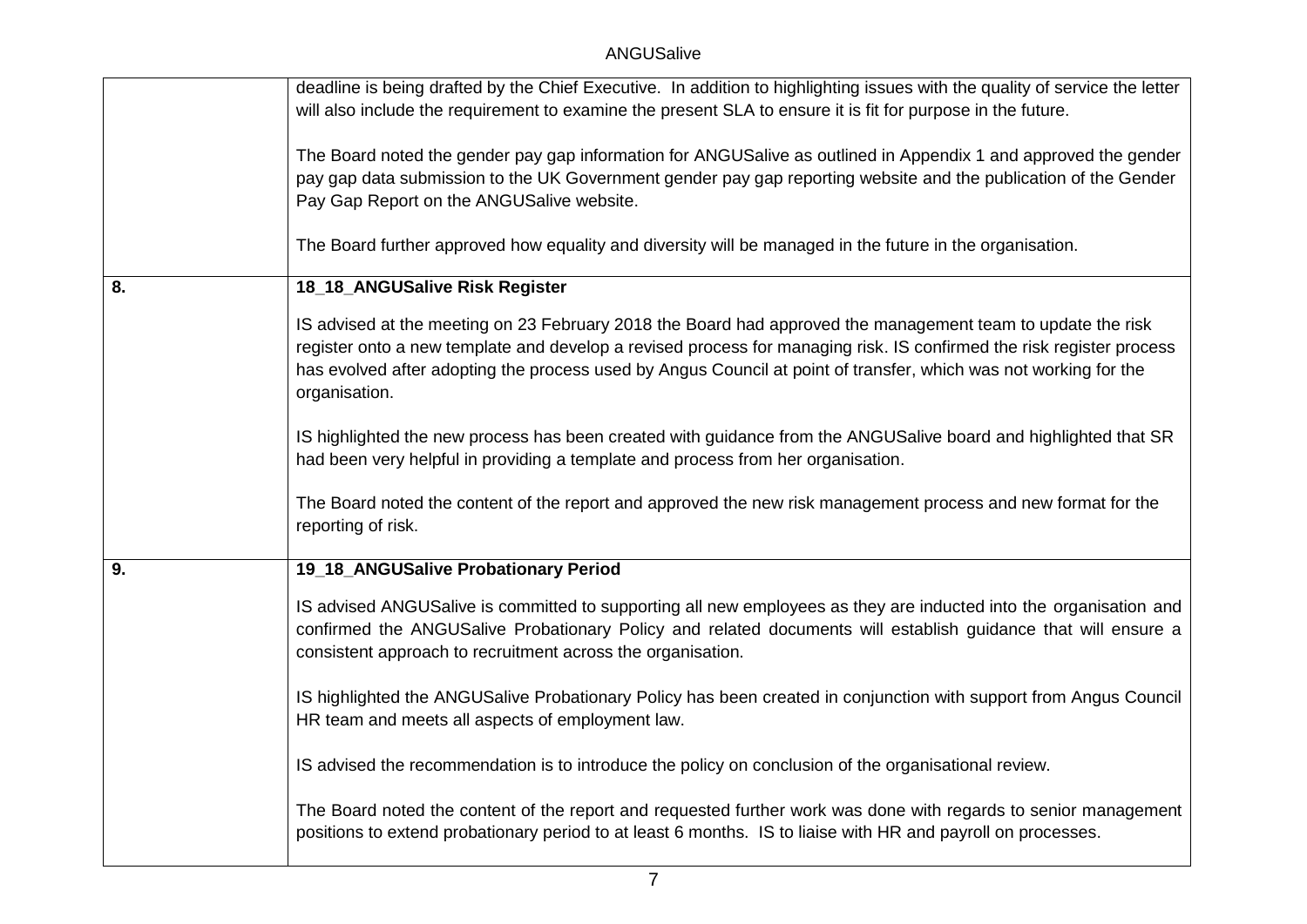|    | deadline is being drafted by the Chief Executive. In addition to highlighting issues with the quality of service the letter<br>will also include the requirement to examine the present SLA to ensure it is fit for purpose in the future.                                                                                                                               |
|----|--------------------------------------------------------------------------------------------------------------------------------------------------------------------------------------------------------------------------------------------------------------------------------------------------------------------------------------------------------------------------|
|    | The Board noted the gender pay gap information for ANGUSalive as outlined in Appendix 1 and approved the gender<br>pay gap data submission to the UK Government gender pay gap reporting website and the publication of the Gender<br>Pay Gap Report on the ANGUSalive website.                                                                                          |
|    | The Board further approved how equality and diversity will be managed in the future in the organisation.                                                                                                                                                                                                                                                                 |
| 8. | 18_18_ANGUSalive Risk Register                                                                                                                                                                                                                                                                                                                                           |
|    | IS advised at the meeting on 23 February 2018 the Board had approved the management team to update the risk<br>register onto a new template and develop a revised process for managing risk. IS confirmed the risk register process<br>has evolved after adopting the process used by Angus Council at point of transfer, which was not working for the<br>organisation. |
|    | IS highlighted the new process has been created with guidance from the ANGUSalive board and highlighted that SR<br>had been very helpful in providing a template and process from her organisation.                                                                                                                                                                      |
|    | The Board noted the content of the report and approved the new risk management process and new format for the<br>reporting of risk.                                                                                                                                                                                                                                      |
| 9. | 19_18_ANGUSalive Probationary Period                                                                                                                                                                                                                                                                                                                                     |
|    | IS advised ANGUSalive is committed to supporting all new employees as they are inducted into the organisation and<br>confirmed the ANGUSalive Probationary Policy and related documents will establish guidance that will ensure a<br>consistent approach to recruitment across the organisation.                                                                        |
|    | IS highlighted the ANGUSalive Probationary Policy has been created in conjunction with support from Angus Council<br>HR team and meets all aspects of employment law.                                                                                                                                                                                                    |
|    | IS advised the recommendation is to introduce the policy on conclusion of the organisational review.                                                                                                                                                                                                                                                                     |
|    | The Board noted the content of the report and requested further work was done with regards to senior management<br>positions to extend probationary period to at least 6 months. IS to liaise with HR and payroll on processes.                                                                                                                                          |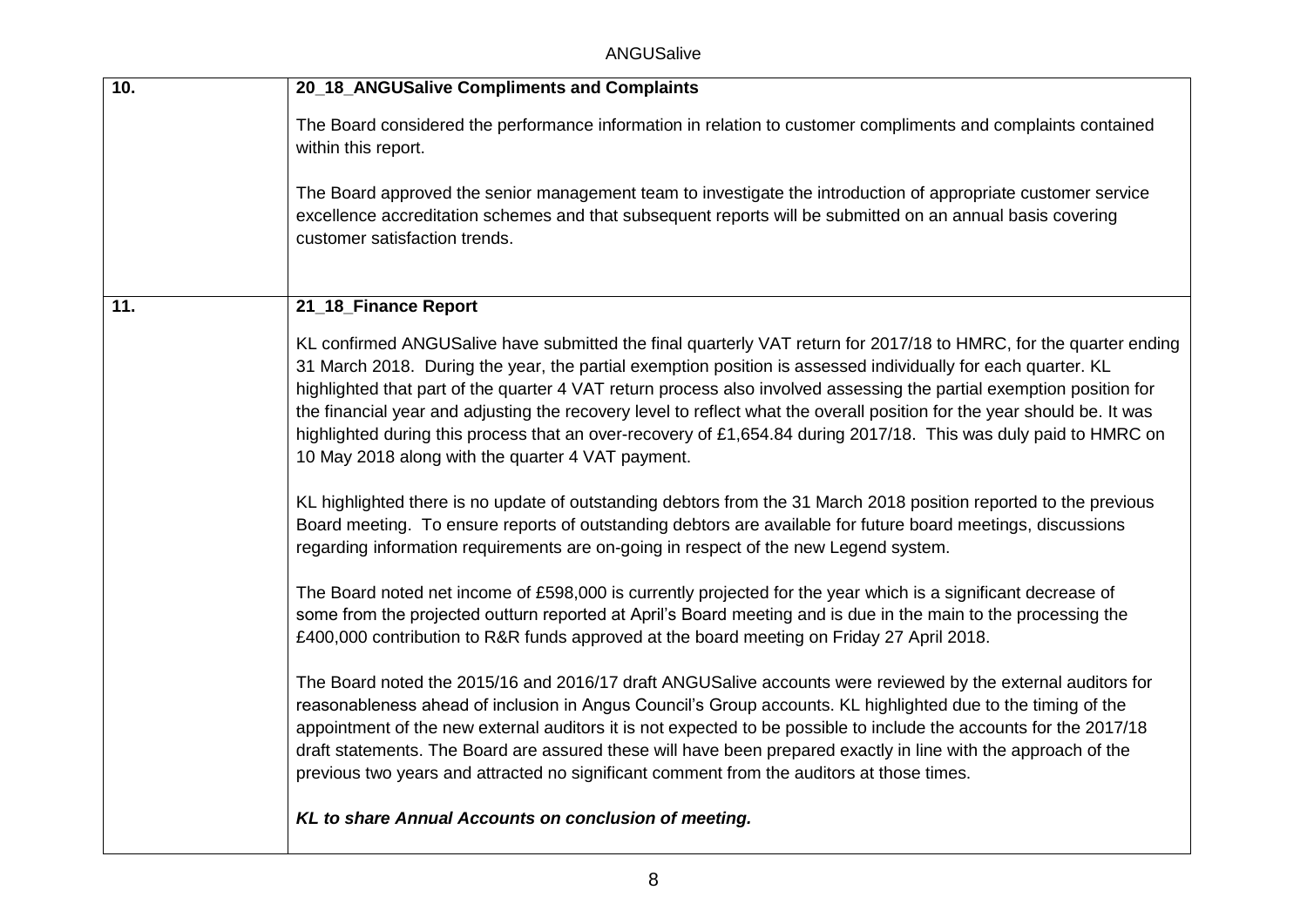ANGUSalive

| 10. | 20_18_ANGUSalive Compliments and Complaints                                                                                                                                                                                                                                                                                                                                                                                                                                                                                                                                                                                                                   |
|-----|---------------------------------------------------------------------------------------------------------------------------------------------------------------------------------------------------------------------------------------------------------------------------------------------------------------------------------------------------------------------------------------------------------------------------------------------------------------------------------------------------------------------------------------------------------------------------------------------------------------------------------------------------------------|
|     | The Board considered the performance information in relation to customer compliments and complaints contained<br>within this report.                                                                                                                                                                                                                                                                                                                                                                                                                                                                                                                          |
|     | The Board approved the senior management team to investigate the introduction of appropriate customer service<br>excellence accreditation schemes and that subsequent reports will be submitted on an annual basis covering<br>customer satisfaction trends.                                                                                                                                                                                                                                                                                                                                                                                                  |
| 11. | 21_18_Finance Report                                                                                                                                                                                                                                                                                                                                                                                                                                                                                                                                                                                                                                          |
|     | KL confirmed ANGUSalive have submitted the final quarterly VAT return for 2017/18 to HMRC, for the quarter ending<br>31 March 2018. During the year, the partial exemption position is assessed individually for each quarter. KL<br>highlighted that part of the quarter 4 VAT return process also involved assessing the partial exemption position for<br>the financial year and adjusting the recovery level to reflect what the overall position for the year should be. It was<br>highlighted during this process that an over-recovery of £1,654.84 during 2017/18. This was duly paid to HMRC on<br>10 May 2018 along with the quarter 4 VAT payment. |
|     | KL highlighted there is no update of outstanding debtors from the 31 March 2018 position reported to the previous<br>Board meeting. To ensure reports of outstanding debtors are available for future board meetings, discussions<br>regarding information requirements are on-going in respect of the new Legend system.                                                                                                                                                                                                                                                                                                                                     |
|     | The Board noted net income of £598,000 is currently projected for the year which is a significant decrease of<br>some from the projected outturn reported at April's Board meeting and is due in the main to the processing the<br>£400,000 contribution to R&R funds approved at the board meeting on Friday 27 April 2018.                                                                                                                                                                                                                                                                                                                                  |
|     | The Board noted the 2015/16 and 2016/17 draft ANGUSalive accounts were reviewed by the external auditors for<br>reasonableness ahead of inclusion in Angus Council's Group accounts. KL highlighted due to the timing of the<br>appointment of the new external auditors it is not expected to be possible to include the accounts for the 2017/18<br>draft statements. The Board are assured these will have been prepared exactly in line with the approach of the<br>previous two years and attracted no significant comment from the auditors at those times.                                                                                             |
|     | KL to share Annual Accounts on conclusion of meeting.                                                                                                                                                                                                                                                                                                                                                                                                                                                                                                                                                                                                         |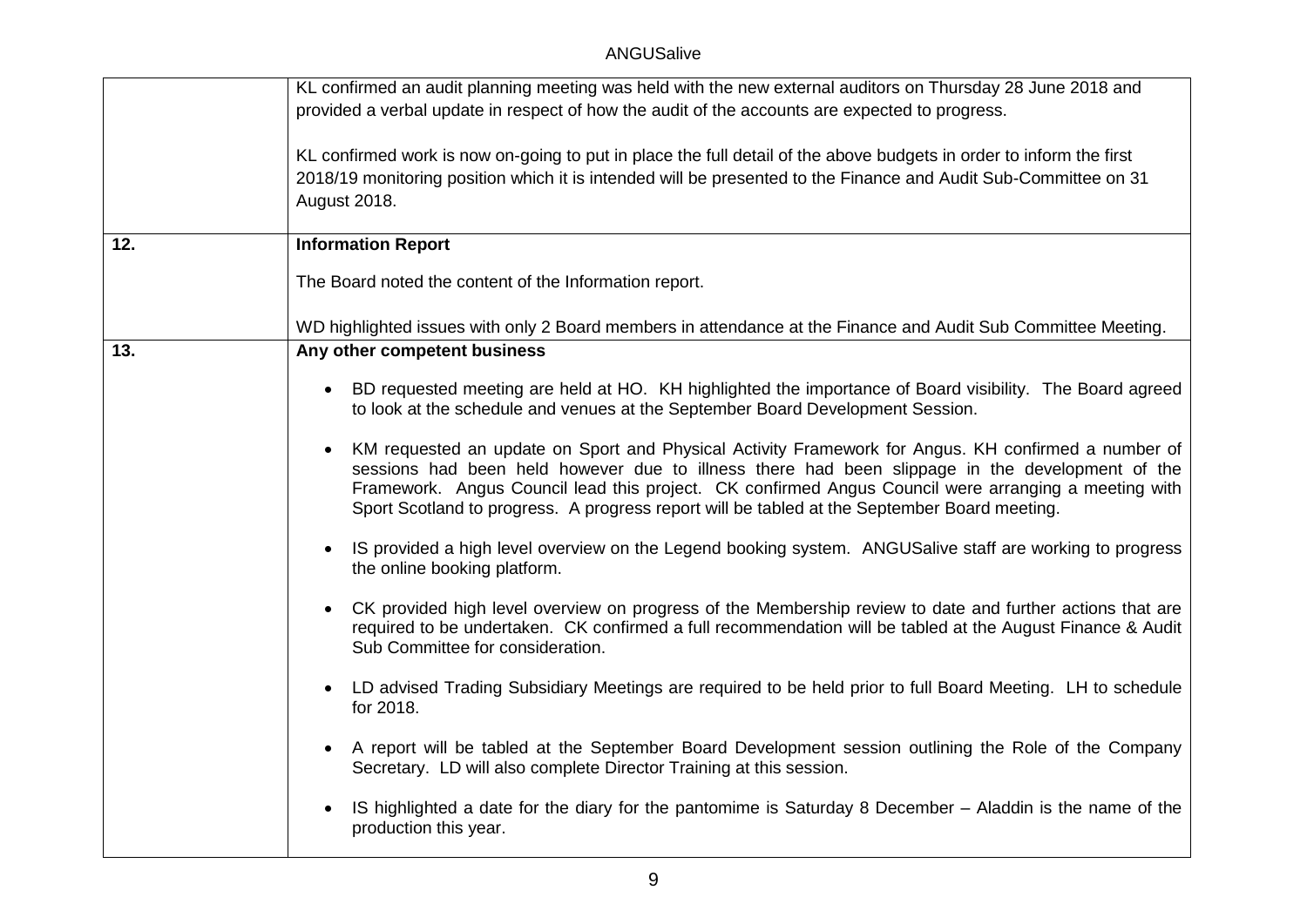|     | KL confirmed an audit planning meeting was held with the new external auditors on Thursday 28 June 2018 and<br>provided a verbal update in respect of how the audit of the accounts are expected to progress.                                                                                                                                                                                                  |
|-----|----------------------------------------------------------------------------------------------------------------------------------------------------------------------------------------------------------------------------------------------------------------------------------------------------------------------------------------------------------------------------------------------------------------|
|     | KL confirmed work is now on-going to put in place the full detail of the above budgets in order to inform the first<br>2018/19 monitoring position which it is intended will be presented to the Finance and Audit Sub-Committee on 31<br>August 2018.                                                                                                                                                         |
| 12. | <b>Information Report</b>                                                                                                                                                                                                                                                                                                                                                                                      |
|     | The Board noted the content of the Information report.                                                                                                                                                                                                                                                                                                                                                         |
|     | WD highlighted issues with only 2 Board members in attendance at the Finance and Audit Sub Committee Meeting.                                                                                                                                                                                                                                                                                                  |
| 13. | Any other competent business                                                                                                                                                                                                                                                                                                                                                                                   |
|     | BD requested meeting are held at HO. KH highlighted the importance of Board visibility. The Board agreed<br>$\bullet$<br>to look at the schedule and venues at the September Board Development Session.                                                                                                                                                                                                        |
|     | KM requested an update on Sport and Physical Activity Framework for Angus. KH confirmed a number of<br>sessions had been held however due to illness there had been slippage in the development of the<br>Framework. Angus Council lead this project. CK confirmed Angus Council were arranging a meeting with<br>Sport Scotland to progress. A progress report will be tabled at the September Board meeting. |
|     | IS provided a high level overview on the Legend booking system. ANGUSalive staff are working to progress<br>$\bullet$<br>the online booking platform.                                                                                                                                                                                                                                                          |
|     | CK provided high level overview on progress of the Membership review to date and further actions that are<br>$\bullet$<br>required to be undertaken. CK confirmed a full recommendation will be tabled at the August Finance & Audit<br>Sub Committee for consideration.                                                                                                                                       |
|     | LD advised Trading Subsidiary Meetings are required to be held prior to full Board Meeting. LH to schedule<br>$\bullet$<br>for 2018.                                                                                                                                                                                                                                                                           |
|     | A report will be tabled at the September Board Development session outlining the Role of the Company<br>Secretary. LD will also complete Director Training at this session.                                                                                                                                                                                                                                    |
|     | IS highlighted a date for the diary for the pantomime is Saturday 8 December – Aladdin is the name of the<br>production this year.                                                                                                                                                                                                                                                                             |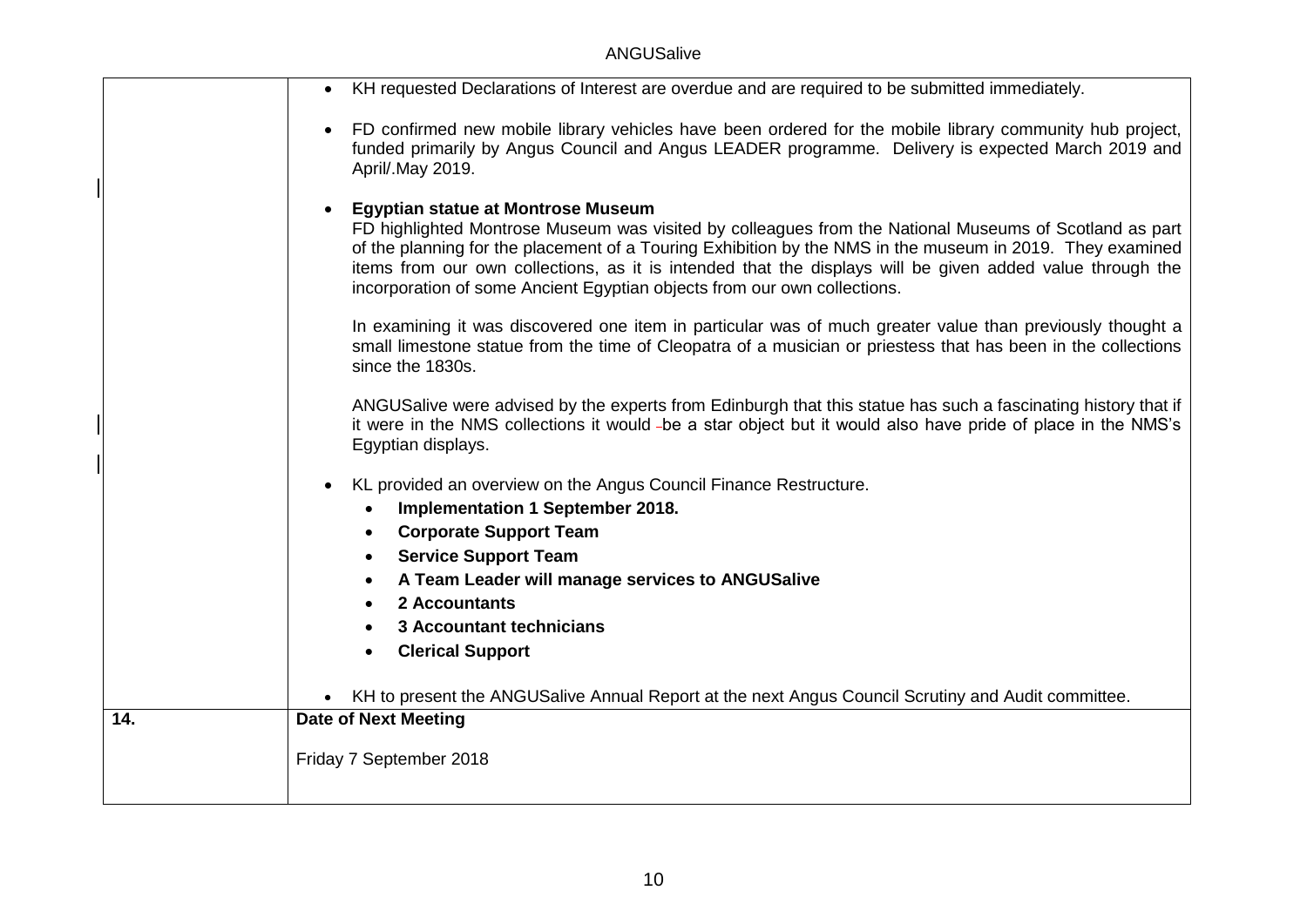ANGUSalive

|     | KH requested Declarations of Interest are overdue and are required to be submitted immediately.<br>$\bullet$                                                                                                                                                                                                                                                                                                                                              |
|-----|-----------------------------------------------------------------------------------------------------------------------------------------------------------------------------------------------------------------------------------------------------------------------------------------------------------------------------------------------------------------------------------------------------------------------------------------------------------|
|     | FD confirmed new mobile library vehicles have been ordered for the mobile library community hub project,<br>funded primarily by Angus Council and Angus LEADER programme. Delivery is expected March 2019 and<br>April/.May 2019.                                                                                                                                                                                                                         |
|     | <b>Egyptian statue at Montrose Museum</b><br>FD highlighted Montrose Museum was visited by colleagues from the National Museums of Scotland as part<br>of the planning for the placement of a Touring Exhibition by the NMS in the museum in 2019. They examined<br>items from our own collections, as it is intended that the displays will be given added value through the<br>incorporation of some Ancient Egyptian objects from our own collections. |
|     | In examining it was discovered one item in particular was of much greater value than previously thought a<br>small limestone statue from the time of Cleopatra of a musician or priestess that has been in the collections<br>since the 1830s.                                                                                                                                                                                                            |
|     | ANGUSalive were advised by the experts from Edinburgh that this statue has such a fascinating history that if<br>it were in the NMS collections it would -be a star object but it would also have pride of place in the NMS's<br>Egyptian displays.                                                                                                                                                                                                       |
|     | KL provided an overview on the Angus Council Finance Restructure.                                                                                                                                                                                                                                                                                                                                                                                         |
|     | Implementation 1 September 2018.<br>$\bullet$                                                                                                                                                                                                                                                                                                                                                                                                             |
|     | <b>Corporate Support Team</b><br>$\bullet$                                                                                                                                                                                                                                                                                                                                                                                                                |
|     | <b>Service Support Team</b><br>$\bullet$                                                                                                                                                                                                                                                                                                                                                                                                                  |
|     | A Team Leader will manage services to ANGUSalive                                                                                                                                                                                                                                                                                                                                                                                                          |
|     | 2 Accountants                                                                                                                                                                                                                                                                                                                                                                                                                                             |
|     | <b>3 Accountant technicians</b>                                                                                                                                                                                                                                                                                                                                                                                                                           |
|     | <b>Clerical Support</b>                                                                                                                                                                                                                                                                                                                                                                                                                                   |
|     | KH to present the ANGUSalive Annual Report at the next Angus Council Scrutiny and Audit committee.                                                                                                                                                                                                                                                                                                                                                        |
| 14. | <b>Date of Next Meeting</b>                                                                                                                                                                                                                                                                                                                                                                                                                               |
|     | Friday 7 September 2018                                                                                                                                                                                                                                                                                                                                                                                                                                   |